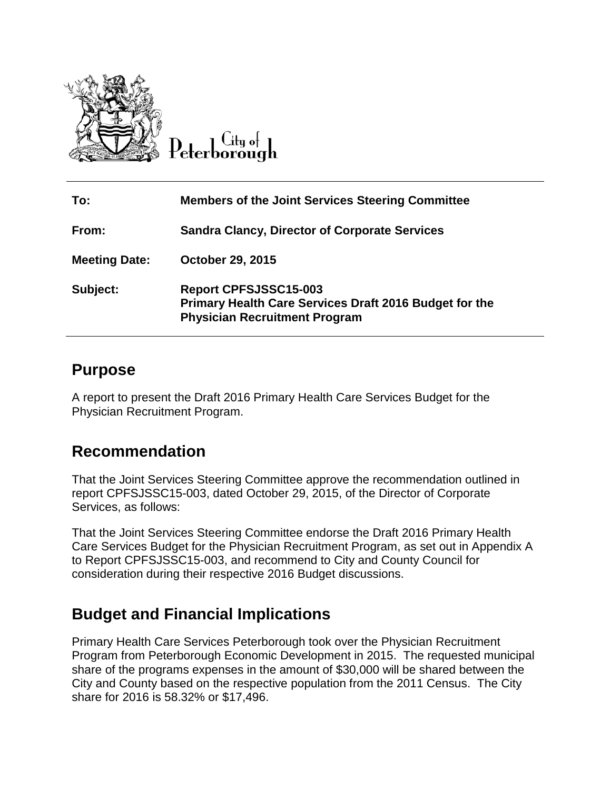

Citu o<del>l</del> Peterborough

| To:                  | <b>Members of the Joint Services Steering Committee</b>                                                                        |
|----------------------|--------------------------------------------------------------------------------------------------------------------------------|
| From:                | <b>Sandra Clancy, Director of Corporate Services</b>                                                                           |
| <b>Meeting Date:</b> | October 29, 2015                                                                                                               |
| Subject:             | <b>Report CPFSJSSC15-003</b><br>Primary Health Care Services Draft 2016 Budget for the<br><b>Physician Recruitment Program</b> |

#### **Purpose**

A report to present the Draft 2016 Primary Health Care Services Budget for the Physician Recruitment Program.

#### **Recommendation**

That the Joint Services Steering Committee approve the recommendation outlined in report CPFSJSSC15-003, dated October 29, 2015, of the Director of Corporate Services, as follows:

That the Joint Services Steering Committee endorse the Draft 2016 Primary Health Care Services Budget for the Physician Recruitment Program, as set out in Appendix A to Report CPFSJSSC15-003, and recommend to City and County Council for consideration during their respective 2016 Budget discussions.

# **Budget and Financial Implications**

Primary Health Care Services Peterborough took over the Physician Recruitment Program from Peterborough Economic Development in 2015. The requested municipal share of the programs expenses in the amount of \$30,000 will be shared between the City and County based on the respective population from the 2011 Census. The City share for 2016 is 58.32% or \$17,496.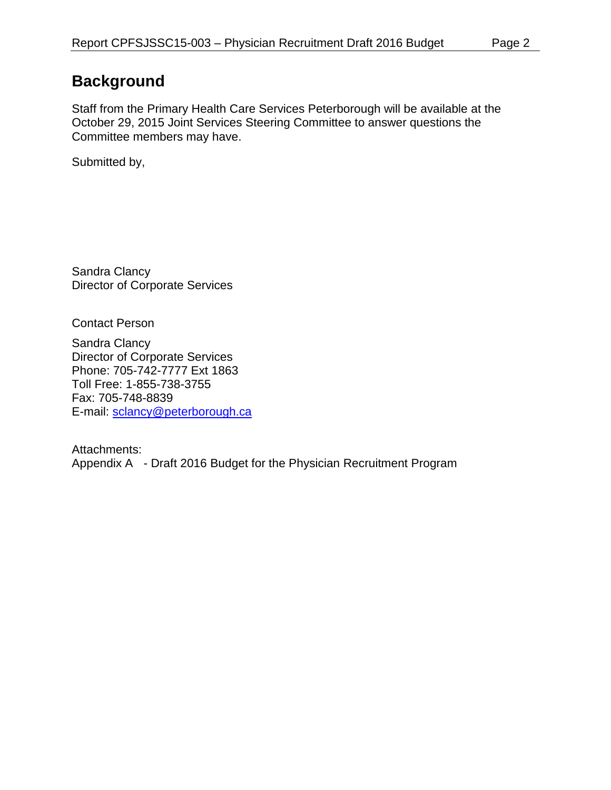# **Background**

Staff from the Primary Health Care Services Peterborough will be available at the October 29, 2015 Joint Services Steering Committee to answer questions the Committee members may have.

Submitted by,

Sandra Clancy Director of Corporate Services

Contact Person

Sandra Clancy Director of Corporate Services Phone: 705-742-7777 Ext 1863 Toll Free: 1-855-738-3755 Fax: 705-748-8839 E-mail: [sclancy@peterborough.ca](mailto:sclancy@peterborough.ca)

Attachments: Appendix A - Draft 2016 Budget for the Physician Recruitment Program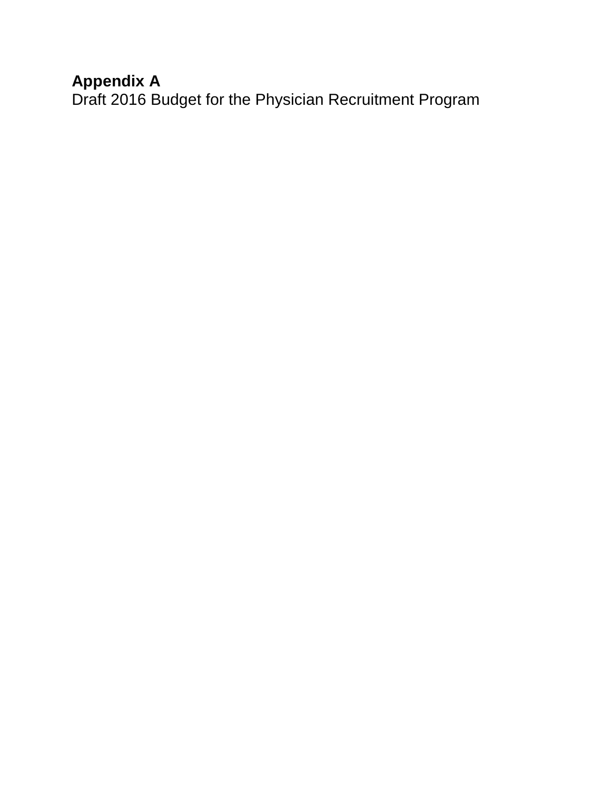### **Appendix A**

Draft 2016 Budget for the Physician Recruitment Program